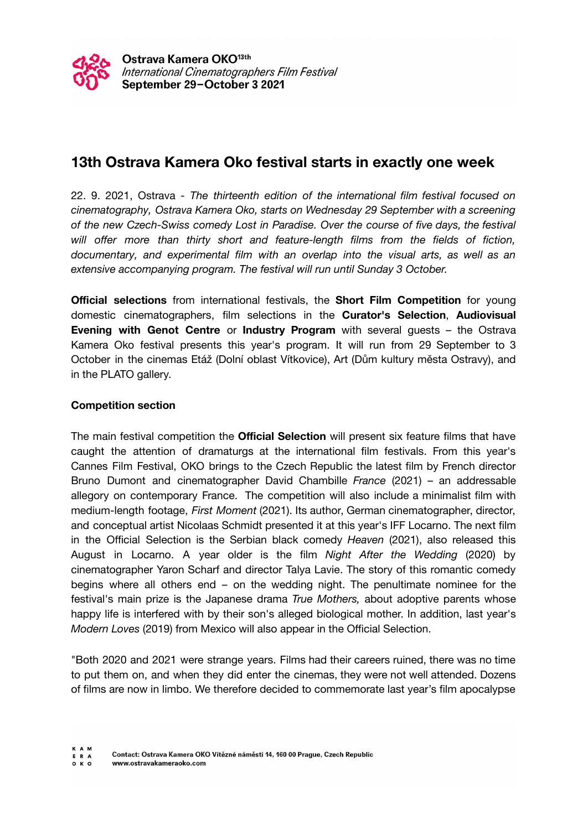

# **13th Ostrava Kamera Oko festival starts in exactly one week**

22. 9. 2021, Ostrava *- The thirteenth edition of the international film festival focused on cinematography, Ostrava Kamera Oko, starts on Wednesday 29 September with a screening of the new Czech-Swiss comedy Lost in Paradise. Over the course of five days, the festival will offer more than thirty short and feature-length films from the fields of fiction, documentary, and experimental film with an overlap into the visual arts, as well as an extensive accompanying program. The festival will run until Sunday 3 October.*

**Official selections** from international festivals, the **Short Film Competition** for young domestic cinematographers, film selections in the **Curator's Selection**, **Audiovisual Evening with Genot Centre** or **Industry Program** with several guests – the Ostrava Kamera Oko festival presents this year's program. It will run from 29 September to 3 October in the cinemas Etáž (Dolní oblast Vítkovice), Art (Dům kultury města Ostravy), and in the PLATO gallery.

# **Competition section**

The main festival competition the **Official Selection** will present six feature films that have caught the attention of dramaturgs at the international film festivals. From this year's Cannes Film Festival, OKO brings to the Czech Republic the latest film by French director Bruno Dumont and cinematographer David Chambille *France* (2021) – an addressable allegory on contemporary France. The competition will also include a minimalist film with medium-length footage, *First Moment* (2021). Its author, German cinematographer, director, and conceptual artist Nicolaas Schmidt presented it at this year's IFF Locarno. The next film in the Official Selection is the Serbian black comedy *Heaven* (2021), also released this August in Locarno. A year older is the film *Night After the Wedding* (2020) by cinematographer Yaron Scharf and director Talya Lavie. The story of this romantic comedy begins where all others end – on the wedding night. The penultimate nominee for the festival's main prize is the Japanese drama *True Mothers,* about adoptive parents whose happy life is interfered with by their son's alleged biological mother. In addition, last year's *Modern Loves* (2019) from Mexico will also appear in the Official Selection.

"Both 2020 and 2021 were strange years. Films had their careers ruined, there was no time to put them on, and when they did enter the cinemas, they were not well attended. Dozens of films are now in limbo. We therefore decided to commemorate last year's film apocalypse

 $O K O$ www.ostravakameraoko.com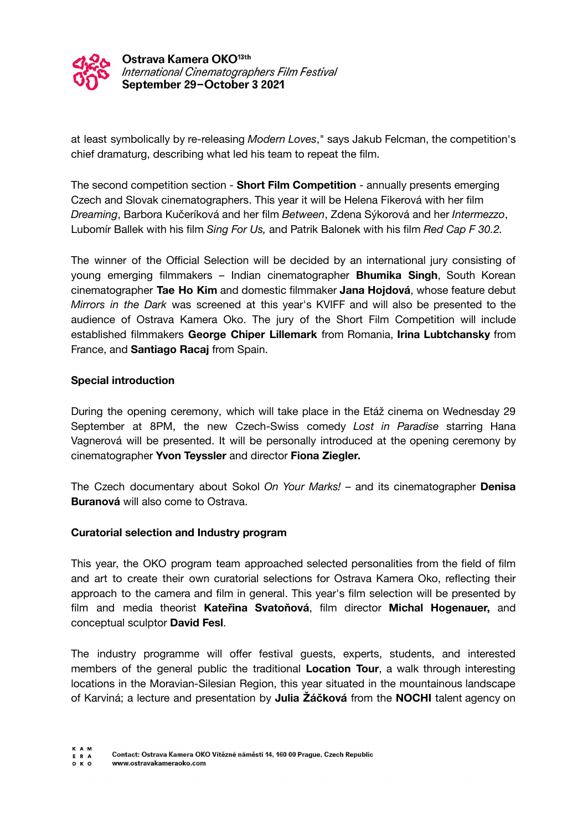

Ostrava Kamera OKO<sup>13th</sup> International Cinematographers Film Festival September 29-October 3 2021

at least symbolically by re-releasing *Modern Loves*," says Jakub Felcman, the competition's chief dramaturg, describing what led his team to repeat the film.

The second competition section - **Short Film Competition** - annually presents emerging Czech and Slovak cinematographers. This year it will be Helena Fikerová with her film *Dreaming*, Barbora Kučeríková and her film *Between*, Zdena Sýkorová and her *Intermezzo*, Lubomír Ballek with his film *Sing For Us,* and Patrik Balonek with his film *Red Cap F 30.2.*

The winner of the Official Selection will be decided by an international jury consisting of young emerging filmmakers – Indian cinematographer **Bhumika Singh**, South Korean cinematographer **Tae Ho Kim** and domestic filmmaker **Jana Hojdová**, whose feature debut *Mirrors in the Dark* was screened at this year's KVIFF and will also be presented to the audience of Ostrava Kamera Oko. The jury of the Short Film Competition will include established filmmakers **George Chiper Lillemark** from Romania, **Irina Lubtchansky** from France, and **Santiago Racaj** from Spain.

### **Special introduction**

During the opening ceremony, which will take place in the Etáž cinema on Wednesday 29 September at 8PM, the new Czech-Swiss comedy *Lost in Paradise* starring Hana Vagnerová will be presented. It will be personally introduced at the opening ceremony by cinematographer **Yvon Teyssler** and director **Fiona Ziegler.**

The Czech documentary about Sokol *On Your Marks!* – and its cinematographer **Denisa Buranová** will also come to Ostrava.

### **Curatorial selection and Industry program**

This year, the OKO program team approached selected personalities from the field of film and art to create their own curatorial selections for Ostrava Kamera Oko, reflecting their approach to the camera and film in general. This year's film selection will be presented by film and media theorist **Kateřina Svatoňová**, film director **Michal Hogenauer,** and conceptual sculptor **David Fesl**.

The industry programme will offer festival guests, experts, students, and interested members of the general public the traditional **Location Tour**, a walk through interesting locations in the Moravian-Silesian Region, this year situated in the mountainous landscape of Karviná; a lecture and presentation by **Julia Žáčková** from the **NOCHI** talent agency on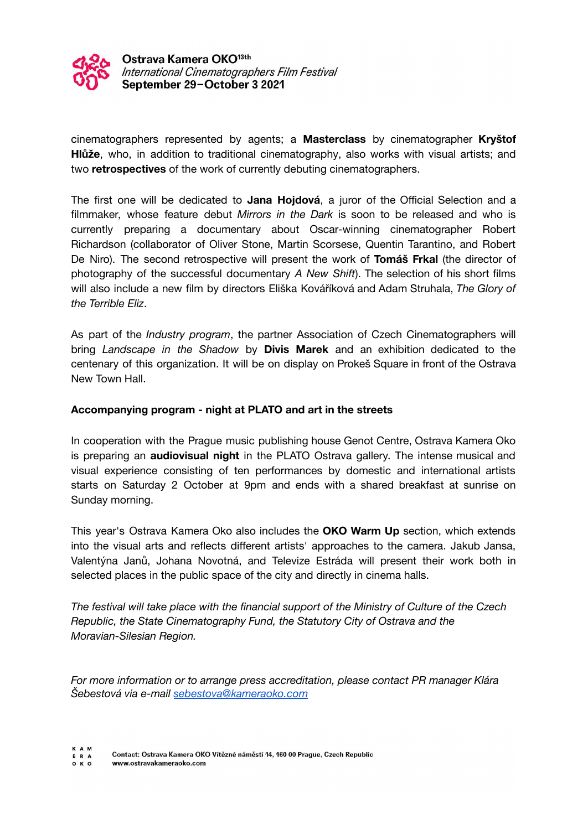

Ostrava Kamera OKO<sup>13th</sup> International Cinematographers Film Festival September 29-October 3 2021

cinematographers represented by agents; a **Masterclass** by cinematographer **Kryštof Hlůže**, who, in addition to traditional cinematography, also works with visual artists; and two **retrospectives** of the work of currently debuting cinematographers.

The first one will be dedicated to **Jana Hojdová**, a juror of the Official Selection and a filmmaker, whose feature debut *Mirrors in the Dark* is soon to be released and who is currently preparing a documentary about Oscar-winning cinematographer Robert Richardson (collaborator of Oliver Stone, Martin Scorsese, Quentin Tarantino, and Robert De Niro). The second retrospective will present the work of **Tomáš Frkal** (the director of photography of the successful documentary *A New Shift*). The selection of his short films will also include a new film by directors Eliška Kováříková and Adam Struhala, *The Glory of the Terrible Eliz*.

As part of the *Industry program*, the partner Association of Czech Cinematographers will bring *Landscape in the Shadow* by **Divis Marek** and an exhibition dedicated to the centenary of this organization. It will be on display on Prokeš Square in front of the Ostrava New Town Hall.

# **Accompanying program - night at PLATO and art in the streets**

In cooperation with the Prague music publishing house Genot Centre, Ostrava Kamera Oko is preparing an **audiovisual night** in the PLATO Ostrava gallery. The intense musical and visual experience consisting of ten performances by domestic and international artists starts on Saturday 2 October at 9pm and ends with a shared breakfast at sunrise on Sunday morning.

This year's Ostrava Kamera Oko also includes the **OKO Warm Up** section, which extends into the visual arts and reflects different artists' approaches to the camera. Jakub Jansa, Valentýna Janů, Johana Novotná, and Televize Estráda will present their work both in selected places in the public space of the city and directly in cinema halls.

*The festival will take place with the financial support of the Ministry of Culture of the Czech Republic, the State Cinematography Fund, the Statutory City of Ostrava and the Moravian-Silesian Region.*

*For more information or to arrange press accreditation, please contact PR manager Klára Šebestová via e-mail [sebestova@kameraoko.com](mailto:sebestova@kameraoko.com)*

**KAM** Contact: Ostrava Kamera OKO Vítězné náměstí 14, 160 00 Prague, Czech Republic E R A

 $O K O$ www.ostravakameraoko.com